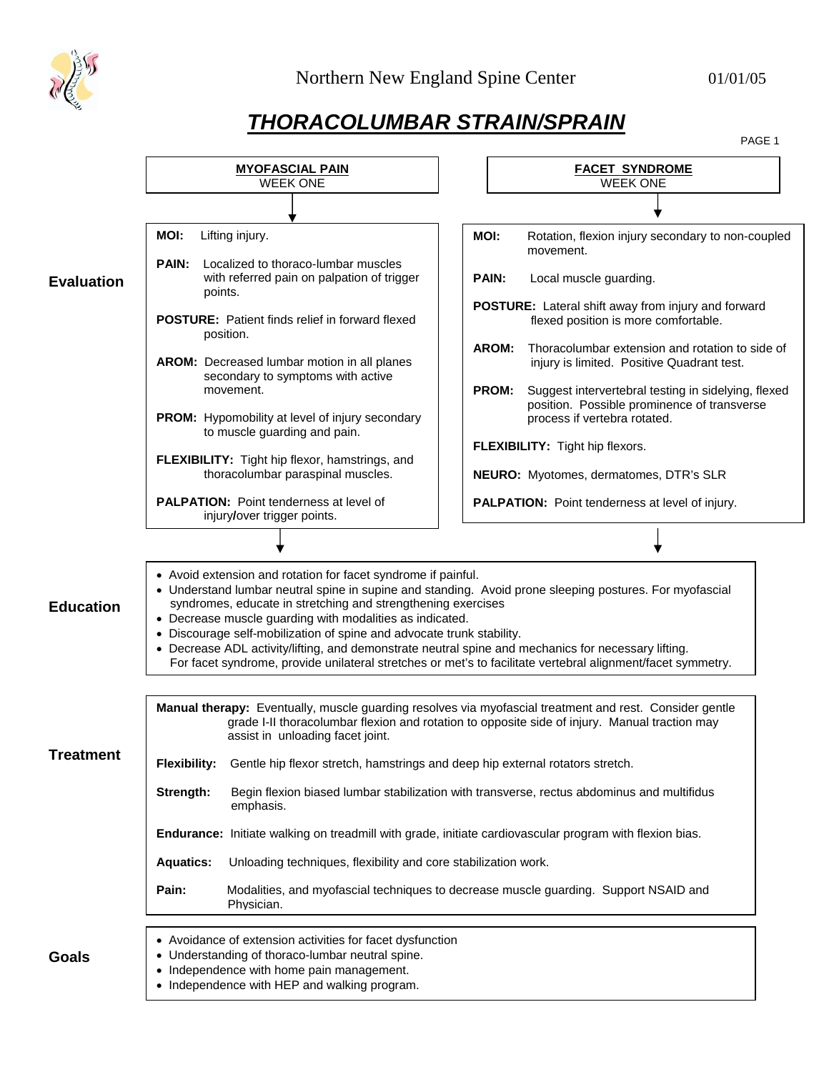

## *THORACOLUMBAR STRAIN/SPRAIN*

PAGE 1